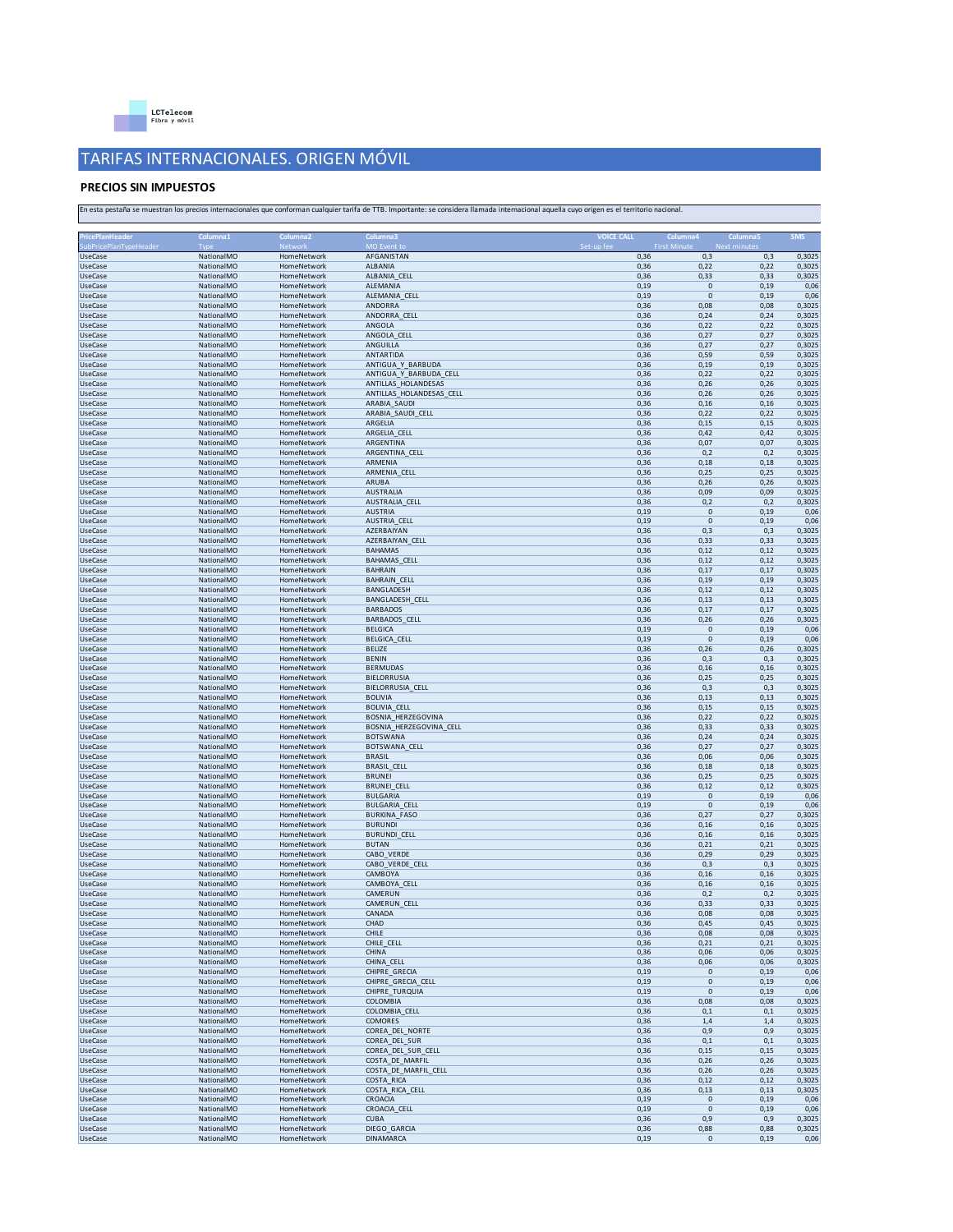

## TARIFAS INTERNACIONALES. ORIGEN MÓVIL

## **PRECIOS SIN IMPUESTOS**

| PricePlanHeader<br>SubPricePlanTypeHeader | Columna1                 | Columna <sub>2</sub>       | Columna3<br>MO Event to          | <b>VOICE CALL</b><br>Set-up fee | Columna4<br><b>First Minute</b> | Columna5           | <b>SMS</b>       |
|-------------------------------------------|--------------------------|----------------------------|----------------------------------|---------------------------------|---------------------------------|--------------------|------------------|
| <b>UseCase</b>                            | Туре<br>NationalMO       | Networl<br>HomeNetwork     | AFGANISTAN                       | 0,36                            | 0,3                             | Next minute<br>0,3 | 0,3025           |
| <b>UseCase</b>                            | NationalMO               | HomeNetwork                | ALBANIA                          | 0,36                            | 0,22                            | 0,22               | 0,3025           |
| <b>UseCase</b>                            | NationalMO               | HomeNetwork                | ALBANIA_CELL                     | 0,36                            | 0,33                            | 0,33               | 0,3025           |
| <b>UseCase</b>                            | NationalMO               | HomeNetwork                | ALEMANIA                         | 0,19                            | $\mathbf 0$                     | 0,19               | 0,06             |
| <b>UseCase</b>                            | NationalMO               | HomeNetwork                | ALEMANIA_CELL                    | 0,19                            | $\mathbf 0$                     | 0,19               | 0,06             |
| <b>UseCase</b>                            | NationalMO               | HomeNetwork                | ANDORRA                          | 0,36                            | 0,08                            | 0,08               | 0,3025           |
| <b>UseCase</b>                            | NationalMO               | HomeNetwork                | ANDORRA_CELL                     | 0,36                            | 0,24                            | 0,24               | 0,3025           |
| <b>UseCase</b>                            | NationalMO               | HomeNetwork                | ANGOLA                           | 0,36                            | 0,22                            | 0,22               | 0,3025           |
| <b>UseCase</b><br><b>UseCase</b>          | NationalMO<br>NationalMO | HomeNetwork<br>HomeNetwork | ANGOLA_CELL<br>ANGUILLA          | 0,36<br>0,36                    | 0,27<br>0,27                    | 0,27<br>0,27       | 0,3025<br>0,3025 |
| <b>UseCase</b>                            | NationalMO               | HomeNetwork                | ANTARTIDA                        | 0,36                            | 0,59                            | 0,59               | 0,3025           |
| <b>UseCase</b>                            | NationalMO               | HomeNetwork                | ANTIGUA_Y_BARBUDA                | 0,36                            | 0,19                            | 0,19               | 0,3025           |
| <b>UseCase</b>                            | NationalMO               | HomeNetwork                | ANTIGUA Y BARBUDA CELL           | 0,36                            | 0,22                            | 0,22               | 0,3025           |
| <b>UseCase</b>                            | NationalMO               | HomeNetwork                | ANTILLAS HOLANDESAS              | 0,36                            | 0,26                            | 0,26               | 0,3025           |
| <b>UseCase</b>                            | NationalMO               | HomeNetwork                | ANTILLAS_HOLANDESAS_CELL         | 0,36                            | 0,26                            | 0,26               | 0,3025           |
| <b>UseCase</b>                            | NationalMO               | HomeNetwork                | ARABIA_SAUDI                     | 0,36                            | 0,16                            | 0,16               | 0,3025           |
| <b>UseCase</b>                            | NationalMO               | HomeNetwork                | ARABIA_SAUDI_CELL                | 0,36                            | 0,22                            | 0,22               | 0,3025           |
| <b>UseCase</b>                            | NationalMO               | HomeNetwork                | ARGELIA                          | 0,36                            | 0,15                            | 0,15               | 0,3025           |
| <b>UseCase</b>                            | NationalMO               | HomeNetwork                | ARGELIA_CELL                     | 0,36                            | 0,42                            | 0,42               | 0,3025           |
| <b>UseCase</b>                            | NationalMO               | HomeNetwork                | ARGENTINA                        | 0,36                            | 0,07                            | 0,07               | 0,3025           |
| <b>UseCase</b><br><b>UseCase</b>          | NationalMO<br>NationalMO | HomeNetwork<br>HomeNetwork | ARGENTINA_CELL<br>ARMENIA        | 0,36<br>0,36                    | 0,2<br>0,18                     | 0,2<br>0,18        | 0,3025<br>0,3025 |
| <b>UseCase</b>                            | NationalMO               | HomeNetwork                | ARMENIA_CELL                     | 0,36                            | 0,25                            | 0,25               | 0,3025           |
| <b>UseCase</b>                            | NationalMO               | HomeNetwork                | ARUBA                            | 0,36                            | 0,26                            | 0,26               | 0,3025           |
| <b>UseCase</b>                            | NationalMO               | HomeNetwork                | <b>AUSTRALIA</b>                 | 0,36                            | 0,09                            | 0,09               | 0,3025           |
| <b>UseCase</b>                            | NationalMO               | HomeNetwork                | AUSTRALIA_CELL                   | 0,36                            | 0,2                             | 0,2                | 0,3025           |
| <b>UseCase</b>                            | NationalMO               | HomeNetwork                | AUSTRIA                          | 0,19                            | $\mathbf 0$                     | 0,19               | 0,06             |
| <b>UseCase</b>                            | NationalMO               | HomeNetwork                | AUSTRIA_CELL                     | 0,19                            | $\mathbf 0$                     | 0,19               | 0,06             |
| <b>UseCase</b>                            | NationalMO               | HomeNetwork                | AZERBAIYAN                       | 0,36                            | 0,3                             | 0,3                | 0,3025           |
| <b>UseCase</b>                            | NationalMO               | HomeNetwork                | AZERBAIYAN_CELL                  | 0,36                            | 0,33                            | 0,33               | 0,3025           |
| <b>UseCase</b>                            | NationalMO               | HomeNetwork                | <b>BAHAMAS</b>                   | 0,36                            | 0,12                            | 0,12               | 0,3025           |
| <b>UseCase</b>                            | NationalMO               | HomeNetwork                | <b>BAHAMAS_CELL</b>              | 0,36                            | 0,12                            | 0,12               | 0,3025           |
| <b>UseCase</b>                            | NationalMO               | HomeNetwork                | <b>BAHRAIN</b>                   | 0,36                            | 0,17                            | 0,17               | 0,3025           |
| <b>UseCase</b>                            | NationalMO               | HomeNetwork                | <b>BAHRAIN CELL</b>              | 0,36                            | 0,19                            | 0,19               | 0,3025           |
| <b>UseCase</b>                            | NationalMO               | HomeNetwork                | BANGLADESH                       | 0,36                            | 0,12                            | 0,12               | 0,3025           |
| <b>UseCase</b><br><b>UseCase</b>          | NationalMO               | HomeNetwork                | BANGLADESH_CELL                  | 0,36                            | 0,13                            | 0,13               | 0,3025<br>0,3025 |
| <b>UseCase</b>                            | NationalMO<br>NationalMO | HomeNetwork<br>HomeNetwork | <b>BARBADOS</b><br>BARBADOS_CELL | 0,36<br>0,36                    | 0,17<br>0,26                    | 0,17<br>0,26       | 0,3025           |
| <b>UseCase</b>                            | NationalMO               | HomeNetwork                | <b>BELGICA</b>                   | 0,19                            | $\mathbf 0$                     | 0,19               | 0,06             |
| <b>UseCase</b>                            | NationalMO               | HomeNetwork                | <b>BELGICA_CELL</b>              | 0,19                            | $\mathbf 0$                     | 0,19               | 0,06             |
| <b>UseCase</b>                            | NationalMO               | HomeNetwork                | <b>BELIZE</b>                    | 0,36                            | 0,26                            | 0,26               | 0,3025           |
| <b>UseCase</b>                            | NationalMO               | HomeNetwork                | <b>BENIN</b>                     | 0,36                            | 0,3                             | 0,3                | 0,3025           |
| <b>UseCase</b>                            | NationalMO               | HomeNetwork                | <b>BERMUDAS</b>                  | 0,36                            | 0,16                            | 0,16               | 0,3025           |
| <b>UseCase</b>                            | NationalMO               | HomeNetwork                | <b>BIELORRUSIA</b>               | 0,36                            | 0,25                            | 0,25               | 0,3025           |
| <b>UseCase</b>                            | NationalMO               | HomeNetwork                | BIELORRUSIA_CELL                 | 0,36                            | 0,3                             | 0,3                | 0,3025           |
| <b>UseCase</b>                            | NationalMO               | HomeNetwork                | <b>BOLIVIA</b>                   | 0,36                            | 0,13                            | 0,13               | 0,3025           |
| <b>UseCase</b>                            | NationalMO               | HomeNetwork                | <b>BOLIVIA_CELL</b>              | 0,36                            | 0,15                            | 0,15               | 0,3025           |
| <b>UseCase</b>                            | NationalMO               | HomeNetwork                | BOSNIA_HERZEGOVINA               | 0,36                            | 0,22                            | 0,22               | 0,3025           |
| <b>UseCase</b>                            | NationalMO               | HomeNetwork                | BOSNIA_HERZEGOVINA_CELL          | 0,36                            | 0,33                            | 0,33               | 0,3025           |
| <b>UseCase</b>                            | NationalMO<br>NationalMO | HomeNetwork                | <b>BOTSWANA</b><br>BOTSWANA_CELL | 0,36<br>0,36                    | 0,24<br>0,27                    | 0,24               | 0,3025<br>0,3025 |
| <b>UseCase</b><br><b>UseCase</b>          | NationalMO               | HomeNetwork<br>HomeNetwork | <b>BRASIL</b>                    | 0,36                            | 0,06                            | 0,27<br>0,06       | 0,3025           |
| <b>UseCase</b>                            | NationalMO               | HomeNetwork                | <b>BRASIL_CELL</b>               | 0,36                            | 0,18                            | 0,18               | 0,3025           |
| <b>UseCase</b>                            | NationalMO               | HomeNetwork                | <b>BRUNEI</b>                    | 0,36                            | 0,25                            | 0,25               | 0,3025           |
| <b>UseCase</b>                            | NationalMO               | HomeNetwork                | <b>BRUNEI_CELL</b>               | 0,36                            | 0,12                            | 0,12               | 0,3025           |
| <b>UseCase</b>                            | NationalMO               | HomeNetwork                | <b>BULGARIA</b>                  | 0,19                            | 0                               | 0,19               | 0,06             |
| <b>UseCase</b>                            | NationalMO               | HomeNetwork                | <b>BULGARIA_CELL</b>             | 0,19                            | 0                               | 0,19               | 0,06             |
| <b>UseCase</b>                            | NationalMO               | HomeNetwork                | <b>BURKINA FASO</b>              | 0,36                            | 0,27                            | 0,27               | 0,3025           |
| <b>UseCase</b>                            | NationalMO               | HomeNetwork                | <b>BURUNDI</b>                   | 0,36                            | 0,16                            | 0,16               | 0,3025           |
| <b>UseCase</b>                            | NationalMO               | HomeNetwork                | BURUNDI_CELL                     | 0,36                            | 0,16                            | 0,16               | 0,3025           |
| <b>UseCase</b>                            | NationalMO               | HomeNetwork                | <b>BUTAN</b>                     | 0,36                            | 0,21                            | 0,21               | 0,3025           |
| <b>UseCase</b><br><b>UseCase</b>          | NationalMO<br>NationalMO | HomeNetwork<br>HomeNetwork | CABO_VERDE<br>CABO_VERDE_CELL    | 0,36<br>0,36                    | 0,29<br>0,3                     | 0,29<br>0,3        | 0,3025<br>0,3025 |
| <b>UseCase</b>                            | NationalMO               | HomeNetwork                | CAMBOYA                          | 0,36                            | 0,16                            | 0,16               | 0,3025           |
| <b>UseCase</b>                            | NationalMO               | HomeNetwork                | CAMBOYA_CELL                     | 0,36                            | 0,16                            | 0,16               | 0,3025           |
| <b>UseCase</b>                            | NationalMO               | HomeNetwork                | CAMERUN                          | 0,36                            | 0,2                             | 0,2                | 0,3025           |
| <b>UseCase</b>                            | NationalMO               | HomeNetwork                | CAMERUN_CELL                     | 0,36                            | 0,33                            | 0,33               | 0,3025           |
| <b>UseCase</b>                            | NationalMO               | HomeNetwork                | CANADA                           | 0,36                            | 0,08                            | 0,08               | 0,3025           |
| <b>UseCase</b>                            | NationalMO               | HomeNetwork                | CHAD                             | 0,36                            | 0,45                            | 0,45               | 0,3025           |
| <b>UseCase</b>                            | NationalMO               | HomeNetwork                | CHILE                            | 0,36                            | 0,08                            | 0,08               | 0,3025           |
| <b>UseCase</b>                            | NationalMO               | HomeNetwork                | CHILE_CELL                       | 0,36                            | 0,21                            | 0,21               | 0,3025           |
| <b>UseCase</b>                            | NationalMO               | HomeNetwork                | CHINA                            | 0,36                            | 0,06                            | 0,06               | 0,3025           |
| <b>UseCase</b>                            | NationalMO               | HomeNetwork                | CHINA CELL                       | 0,36                            | 0,06                            | 0,06               | 0,3025           |
| <b>UseCase</b>                            | NationalMO               | HomeNetwork                | CHIPRE GRECIA                    | 0,19                            | $\pmb{0}$                       | 0,19               | 0,06             |
| <b>UseCase</b>                            | NationalMO               | HomeNetwork                | CHIPRE_GRECIA_CELL               | 0,19                            | $\mathbf 0$                     | 0,19               | 0,06             |
| <b>UseCase</b><br><b>UseCase</b>          | NationalMO<br>NationalMO | HomeNetwork<br>HomeNetwork | CHIPRE_TURQUIA<br>COLOMBIA       | 0,19<br>0,36                    | $\mathbf 0$<br>0,08             | 0,19<br>0,08       | 0,06<br>0,3025   |
| <b>UseCase</b>                            | NationalMO               | HomeNetwork                | COLOMBIA_CELL                    | 0,36                            | 0,1                             | 0,1                | 0,3025           |
| <b>UseCase</b>                            | NationalMO               | HomeNetwork                | <b>COMORES</b>                   | 0,36                            | 1,4                             | 1,4                | 0,3025           |
| <b>UseCase</b>                            | NationalMO               | HomeNetwork                | COREA_DEL_NORTE                  | 0,36                            | 0,9                             | 0,9                | 0,3025           |
| <b>UseCase</b>                            | NationalMO               | HomeNetwork                | COREA_DEL_SUR                    | 0,36                            | 0,1                             | 0,1                | 0,3025           |
| <b>UseCase</b>                            | NationalMO               | HomeNetwork                | COREA_DEL_SUR_CELL               | 0,36                            | 0,15                            | 0,15               | 0,3025           |
| <b>UseCase</b>                            | NationalMO               | HomeNetwork                | COSTA_DE_MARFIL                  | 0,36                            | 0,26                            | 0,26               | 0,3025           |
| <b>UseCase</b>                            | NationalMO               | HomeNetwork                | COSTA_DE_MARFIL_CELL             | 0,36                            | 0,26                            | 0,26               | 0,3025           |
| <b>UseCase</b>                            | NationalMO               | HomeNetwork                | COSTA_RICA                       | 0,36                            | 0,12                            | 0,12               | 0,3025           |
| <b>UseCase</b>                            | NationalMO               | HomeNetwork                | COSTA_RICA_CELL                  | 0,36                            | 0,13                            | 0,13               | 0,3025           |
| <b>UseCase</b>                            | NationalMO               | HomeNetwork                | CROACIA                          | 0,19                            | 0                               | 0,19               | 0,06             |
| <b>UseCase</b>                            | NationalMO               | HomeNetwork                | CROACIA_CELL                     | 0,19                            | $\mathbf 0$                     | 0,19               | 0,06             |
| <b>UseCase</b>                            | NationalMO               | HomeNetwork                | <b>CUBA</b>                      | 0,36                            | 0,9                             | 0,9                | 0,3025           |
| <b>UseCase</b>                            | NationalMO               | HomeNetwork                | DIEGO_GARCIA                     | 0,36                            | 0,88                            | 0,88               | 0,3025           |
| <b>UseCase</b>                            | NationalMO               | HomeNetwork                | <b>DINAMARCA</b>                 | 0,19                            | $\mathbf 0$                     | 0,19               | 0,06             |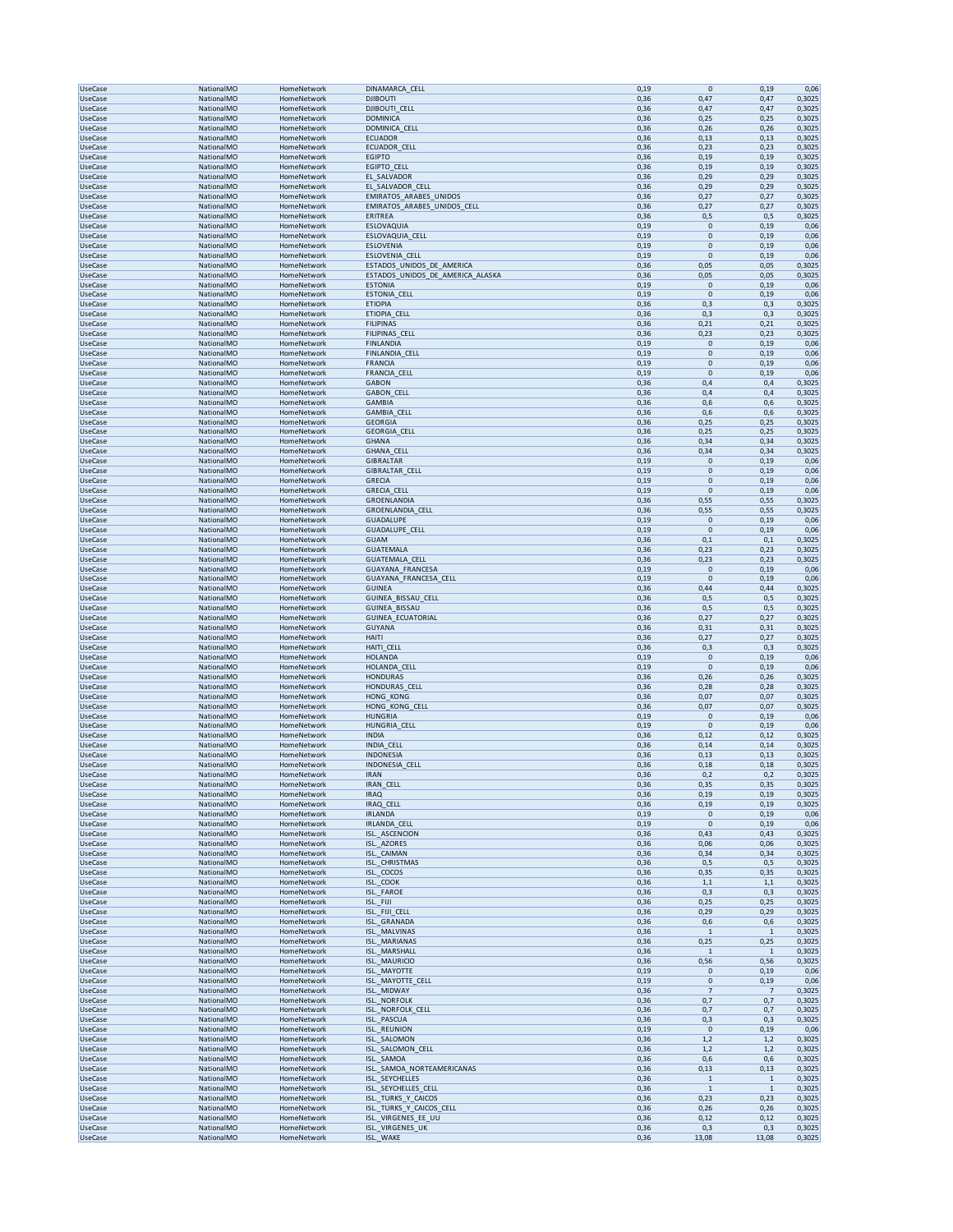| <b>UseCase</b>                   | NationalMO               | HomeNetwork                | DINAMARCA_CELL                      | 0,19         | $\mathbf{0}$<br>0,19                    | 0,06                             |
|----------------------------------|--------------------------|----------------------------|-------------------------------------|--------------|-----------------------------------------|----------------------------------|
| <b>UseCase</b>                   | NationalMO               | HomeNetwork                | <b>DJIBOUTI</b>                     | 0,36         | 0,47<br>0,47                            | 0,3025                           |
| <b>UseCase</b>                   | NationalMO               | HomeNetwork                | DJIBOUTI_CELL                       | 0,36         | 0,47<br>0,47                            | 0,3025                           |
| <b>UseCase</b>                   | NationalMO               | HomeNetwork                | <b>DOMINICA</b>                     | 0,36         | 0,25<br>0,25                            | 0,3025                           |
| <b>UseCase</b>                   | NationalMO               | HomeNetwork                | DOMINICA_CELL                       | 0,36         | 0,26<br>0,26                            | 0,3025                           |
| <b>UseCase</b><br>UseCase        | NationalMO<br>NationalMO | HomeNetwork<br>HomeNetwork | <b>ECUADOR</b><br>ECUADOR CELL      | 0,36<br>0,36 | 0,13<br>0,13<br>0,23<br>0,23            | 0,3025<br>0,3025                 |
| UseCase                          | NationalMO               | HomeNetwork                | <b>EGIPTO</b>                       | 0,36         | 0,19<br>0,19                            | 0,3025                           |
| <b>UseCase</b>                   | NationalMO               | HomeNetwork                | EGIPTO CELL                         | 0,36         | 0,19<br>0,19                            | 0,3025                           |
| <b>UseCase</b>                   | NationalMO               | HomeNetwork                | EL_SALVADOR                         | 0,36         | 0,29<br>0,29                            | 0,3025                           |
| <b>UseCase</b>                   | NationalMO               | HomeNetwork                | EL_SALVADOR_CELL                    | 0,36         | 0,29<br>0,29                            | 0,3025                           |
| <b>UseCase</b>                   | NationalMO               | HomeNetwork                | EMIRATOS_ARABES_UNIDOS              | 0,36         | 0,27<br>0,27                            | 0,3025                           |
| <b>UseCase</b>                   | NationalMO               | HomeNetwork                | EMIRATOS_ARABES_UNIDOS_CELL         | 0,36         | 0,27<br>0,27                            | 0,3025                           |
| <b>UseCase</b>                   | NationalMO               | HomeNetwork                | ERITREA                             | 0,36         | 0,5<br>0,5                              | 0,3025                           |
| <b>UseCase</b>                   | NationalMO               | HomeNetwork                | ESLOVAQUIA                          | 0,19         | $\pmb{0}$<br>0,19                       | 0,06                             |
| <b>UseCase</b>                   | NationalMO<br>NationalMO | HomeNetwork<br>HomeNetwork | ESLOVAQUIA_CELL<br><b>ESLOVENIA</b> | 0,19<br>0,19 | $\bf{0}$<br>0,19<br>$\mathbf 0$<br>0,19 | 0,06<br>0,06                     |
| <b>UseCase</b><br><b>UseCase</b> | NationalMO               | HomeNetwork                | ESLOVENIA_CELL                      | 0,19         | 0,19<br>$\mathbf{0}$                    | 0,06                             |
| <b>UseCase</b>                   | NationalMO               | HomeNetwork                | ESTADOS_UNIDOS_DE_AMERICA           | 0,36         | 0,05<br>0,05                            | 0,3025                           |
| <b>UseCase</b>                   | NationalMO               | HomeNetwork                | ESTADOS_UNIDOS_DE_AMERICA_ALASKA    | 0,36         | 0,05<br>0,05                            | 0,3025                           |
| UseCase                          | NationalMO               | HomeNetwork                | <b>ESTONIA</b>                      | 0,19         | 0<br>0,19                               | 0,06                             |
| <b>UseCase</b>                   | NationalMO               | HomeNetwork                | ESTONIA_CELL                        | 0,19         | 0,19<br>$\mathbf{0}$                    | 0,06                             |
| <b>UseCase</b>                   | NationalMO               | HomeNetwork                | <b>ETIOPIA</b>                      | 0,36         | 0,3<br>0,3                              | 0,3025                           |
| <b>UseCase</b>                   | NationalMO               | HomeNetwork                | ETIOPIA CELL                        | 0,36         | 0,3<br>0,3                              | 0,3025<br>0,3025                 |
| <b>UseCase</b><br><b>UseCase</b> | NationalMO<br>NationalMO | HomeNetwork<br>HomeNetwork | <b>FILIPINAS</b><br>FILIPINAS_CELL  | 0,36<br>0,36 | 0,21<br>0,21<br>0,23<br>0,23            | 0,3025                           |
| UseCase                          | NationalMO               | HomeNetwork                | <b>FINLANDIA</b>                    | 0,19         | 0,19<br>$\mathbf{0}$                    | 0,06                             |
| UseCase                          | NationalMO               | HomeNetwork                | FINLANDIA_CELL                      | 0,19         | $\mathbf{0}$<br>0,19                    | 0,06                             |
| <b>UseCase</b>                   | NationalMO               | HomeNetwork                | <b>FRANCIA</b>                      | 0,19         | $\mathbf 0$<br>0,19                     | 0,06                             |
| <b>UseCase</b>                   | NationalMO               | HomeNetwork                | FRANCIA_CELL                        | 0,19         | $\pmb{0}$<br>0,19                       | 0,06                             |
| UseCase                          | NationalMO               | HomeNetwork                | GABON                               | 0,36         | 0,4<br>0,4                              | 0,3025                           |
| <b>UseCase</b>                   | NationalMO               | HomeNetwork                | GABON_CELL                          | 0,36         | 0,4<br>0,4                              | 0,3025                           |
| <b>UseCase</b>                   | NationalMO               | HomeNetwork                | <b>GAMBIA</b>                       | 0,36         | 0,6<br>0,6                              | 0,3025                           |
| <b>UseCase</b>                   | NationalMO               | HomeNetwork                | <b>GAMBIA CELL</b>                  | 0,36         | 0,6<br>0,6                              | 0,3025                           |
| <b>UseCase</b>                   | NationalMO               | HomeNetwork                | <b>GEORGIA</b>                      | 0,36         | 0,25<br>0,25                            | 0,3025<br>0,3025                 |
| <b>UseCase</b><br><b>UseCase</b> | NationalMO<br>NationalMO | HomeNetwork<br>HomeNetwork | GEORGIA_CELL<br><b>GHANA</b>        | 0,36<br>0,36 | 0,25<br>0,25<br>0,34<br>0,34            | 0,3025                           |
| <b>UseCase</b>                   | NationalMO               | HomeNetwork                | GHANA_CELL                          | 0,36         | 0,34<br>0,34                            | 0,3025                           |
| <b>UseCase</b>                   | NationalMO               | HomeNetwork                | <b>GIBRALTAR</b>                    | 0,19         | $\mathbf 0$<br>0,19                     | 0,06                             |
| <b>UseCase</b>                   | NationalMO               | HomeNetwork                | GIBRALTAR_CELL                      | 0,19         | $\mathbf 0$<br>0,19                     | 0,06                             |
| UseCase                          | NationalMO               | HomeNetwork                | GRECIA                              | 0,19         | $\mathbf{0}$<br>0,19                    | 0,06                             |
| <b>UseCase</b>                   | NationalMO               | HomeNetwork                | <b>GRECIA CELL</b>                  | 0,19         | 0,19<br>$\mathbf{0}$                    | 0,06                             |
| <b>UseCase</b>                   | NationalMO               | HomeNetwork                | GROENLANDIA                         | 0,36         | 0,55<br>0,55                            | 0,3025                           |
| <b>UseCase</b>                   | NationalMO               | HomeNetwork                | GROENLANDIA_CELL                    | 0,36         | 0,55<br>0,55                            | 0,3025                           |
| <b>UseCase</b>                   | NationalMO<br>NationalMO | HomeNetwork<br>HomeNetwork | <b>GUADALUPE</b>                    | 0,19         | $\mathbf 0$<br>0,19                     | 0,06                             |
| <b>UseCase</b><br>UseCase        | NationalMO               | HomeNetwork                | GUADALUPE_CELL<br>GUAM              | 0,19<br>0,36 | 0<br>0,19<br>0,1<br>0,1                 | 0,06<br>0,3025                   |
| UseCase                          | NationalMO               | HomeNetwork                | GUATEMALA                           | 0,36         | 0,23<br>0,23                            | 0,3025                           |
| <b>UseCase</b>                   | NationalMO               | HomeNetwork                | <b>GUATEMALA CELL</b>               | 0,36         | 0,23<br>0,23                            | 0,3025                           |
| <b>UseCase</b>                   | NationalMO               | HomeNetwork                | GUAYANA_FRANCESA                    | 0,19         | $\mathbf 0$<br>0,19                     | 0,06                             |
| <b>UseCase</b>                   | NationalMO               | HomeNetwork                | GUAYANA_FRANCESA_CELL               | 0,19         | $\mathbf{0}$<br>0,19                    | 0,06                             |
| <b>UseCase</b>                   | NationalMO               | HomeNetwork                | <b>GUINEA</b>                       | 0,36         | 0,44<br>0,44                            | 0,3025                           |
| <b>UseCase</b>                   | NationalMO               | HomeNetwork                | GUINEA_BISSAU_CELL                  | 0,36         | 0,5<br>0,5                              | 0,3025                           |
| <b>UseCase</b>                   | NationalMO               | HomeNetwork                | <b>GUINEA BISSAU</b>                | 0,36         | 0,5<br>0,5                              | 0,3025                           |
| <b>UseCase</b>                   | NationalMO               | HomeNetwork                | GUINEA_ECUATORIAL                   | 0,36         | 0,27<br>0,27                            | 0,3025                           |
| <b>UseCase</b><br><b>UseCase</b> | NationalMO<br>NationalMO | HomeNetwork<br>HomeNetwork | GUYANA<br>HAITI                     | 0,36<br>0,36 | 0,31<br>0,31<br>0,27<br>0,27            | 0,3025<br>0,3025                 |
| <b>UseCase</b>                   | NationalMO               | HomeNetwork                | HAITI_CELI                          | 0,36         | 0,3<br>0,3                              | 0,3025                           |
| <b>UseCase</b>                   | NationalMO               | HomeNetwork                | <b>HOLANDA</b>                      | 0,19         | $\pmb{0}$<br>0,19                       | 0,06                             |
| <b>UseCase</b>                   | NationalMO               | HomeNetwork                | HOLANDA CELL                        | 0,19         | $\pmb{0}$<br>0,19                       | 0,06                             |
| UseCase                          | NationalMO               | HomeNetwork                | <b>HONDURAS</b>                     | 0,36         | 0,26<br>0,26                            | 0,3025                           |
| <b>UseCase</b>                   | NationalMO               | HomeNetwork                | HONDURAS_CELL                       | 0,36         | 0,28<br>0,28                            | 0,3025                           |
| <b>UseCase</b>                   | NationalMO<br>NationalMO | HomeNetwork                | <b>HONG_KONG</b>                    | 0,36         | 0,07<br>0,07                            | 0,3025                           |
| <b>UseCase</b><br><b>UseCase</b> | NationalMO               | HomeNetwork<br>HomeNetwork | HONG_KONG_CELL<br><b>HUNGRIA</b>    | 0,36<br>0,19 | 0,07<br>0,07<br>$\mathbf 0$<br>0,19     | 0,3025<br>0,06                   |
| <b>UseCase</b>                   | NationalMO               | HomeNetwork                | HUNGRIA_CELL                        | 0,19         | 0<br>0,19                               | 0,06                             |
| UseCase                          | NationalMO               | HomeNetwork                | <b>INDIA</b>                        | 0,36         | 0,12<br>0,12                            | 0,3025                           |
| UseCase                          | NationalMO               | HomeNetwork                | INDIA_CELL                          | 0,36         | 0,14<br>0,14                            | 0,3025                           |
| <b>UseCase</b>                   | NationalMO               | HomeNetwork                | <b>INDONESIA</b>                    | 0,36         | 0,13<br>0,13                            | 0,3025                           |
| <b>UseCase</b>                   | NationalMO               | HomeNetwork                | INDONESIA_CELL                      | 0,36         | 0,18<br>0,18                            | 0,3025                           |
| UseCase                          | NationalMO               | HomeNetwork                | <b>IRAN</b>                         | 0,36         | 0,2<br>0,2                              | 0,3025                           |
| <b>UseCase</b>                   | NationalMO               | HomeNetwork                | IRAN_CELL                           | 0,36         | 0,35<br>0,35                            | 0,3025                           |
| <b>UseCase</b><br><b>UseCase</b> | NationalMO<br>NationalMO | HomeNetwork<br>HomeNetwork | <b>IRAQ</b><br>IRAQ_CELL            | 0,36<br>0,36 | 0,19<br>0,19<br>0, 19<br>0,19           | 0,3025<br>0,3025                 |
| <b>UseCase</b>                   | NationalMO               | HomeNetwork                | <b>IRLANDA</b>                      | 0,19         | $\bf{0}$<br>0,19                        | 0,06                             |
| <b>UseCase</b>                   | NationalMO               | HomeNetwork                | IRLANDA_CELL                        | 0,19         | 0<br>0,19                               | 0,06                             |
| <b>UseCase</b>                   | NationalMO               | HomeNetwork                | ISL._ASCENCION                      | 0,36         | 0,43<br>0,43                            | 0,3025                           |
| <b>UseCase</b>                   | NationalMO               | HomeNetwork                | ISL._AZORES                         | 0,36         | 0,06<br>0,06                            | 0,3025                           |
| <b>UseCase</b>                   | NationalMO               | HomeNetwork                | ISL. CAIMAN                         | 0,36         | 0,34<br>0,34                            | 0,3025                           |
| <b>UseCase</b>                   | NationalMO               | HomeNetwork                | ISL._CHRISTMAS                      | 0,36         | 0,5<br>0,5                              | 0,3025                           |
| <b>UseCase</b><br><b>UseCase</b> | NationalMO<br>NationalMO | HomeNetwork<br>HomeNetwork | ISL._COCOS<br>ISL._COOK             | 0,36<br>0,36 | 0,35<br>0,35<br>1,1<br>1,1              | 0,3025<br>0,3025                 |
| <b>UseCase</b>                   | NationalMO               | HomeNetwork                | ISL._FAROE                          | 0,36         | 0,3<br>0,3                              | 0,3025                           |
| <b>UseCase</b>                   | NationalMO               | HomeNetwork                | ISL._FIJI                           | 0,36         | 0,25<br>0,25                            | 0,3025                           |
| <b>UseCase</b>                   | NationalMO               | HomeNetwork                | ISL. FIJI_CELL                      | 0,36         | 0,29<br>0,29                            | 0,3025                           |
| <b>UseCase</b>                   | NationalMO               | HomeNetwork                | ISL._GRANADA                        | 0,36         | 0,6<br>0,6                              | 0,3025                           |
| <b>UseCase</b>                   | NationalMO               | HomeNetwork                | ISL. MALVINAS                       | 0,36         | $\mathbf{1}$                            | 0,3025<br>$\mathbf{1}$           |
| <b>UseCase</b>                   | NationalMO               | HomeNetwork                | <b>ISL. MARIANAS</b>                | 0,36         | 0,25<br>0,25                            | 0,3025                           |
| <b>UseCase</b>                   | NationalMO<br>NationalMO | HomeNetwork<br>HomeNetwork | ISL._MARSHALL<br>ISL._MAURICIO      | 0,36         | 1                                       | 0,3025<br>$\mathbf{1}$<br>0,3025 |
| <b>UseCase</b><br><b>UseCase</b> | NationalMO               | HomeNetwork                | ISL. MAYOTTE                        | 0,36<br>0,19 | 0,56<br>0,56<br>0<br>0,19               | 0,06                             |
| <b>UseCase</b>                   | NationalMO               | HomeNetwork                | ISL._MAYOTTE_CELL                   | 0,19         | $\mathbf 0$<br>0,19                     | 0,06                             |
| <b>UseCase</b>                   | NationalMO               | HomeNetwork                | ISL._MIDWAY                         | 0,36         | $\overline{7}$                          | 0,3025<br>$\overline{7}$         |
| <b>UseCase</b>                   | NationalMO               | HomeNetwork                | ISL._NORFOLK                        | 0,36         | 0,7<br>0,7                              | 0,3025                           |
| <b>UseCase</b>                   | NationalMO               | HomeNetwork                | ISL._NORFOLK_CELL                   | 0,36         | 0,7<br>0,7                              | 0,3025                           |
| <b>UseCase</b>                   | NationalMO               | HomeNetwork                | ISL._PASCUA                         | 0,36         | 0,3<br>0,3                              | 0,3025                           |
| <b>UseCase</b>                   | NationalMO               | HomeNetwork                | ISL._REUNION                        | 0,19         | 0,19<br>$\mathbf{0}$                    | 0,06                             |
| <b>UseCase</b>                   | NationalMO<br>NationalMO | HomeNetwork<br>HomeNetwork | ISL._SALOMON                        | 0,36         | 1,2<br>1,2                              | 0,3025                           |
| <b>UseCase</b><br><b>UseCase</b> | NationalMO               | HomeNetwork                | ISL._SALOMON_CELL<br>ISL. SAMOA     | 0,36<br>0,36 | 1,2<br>1,2<br>0,6<br>0,6                | 0,3025<br>0,3025                 |
| <b>UseCase</b>                   | NationalMO               | HomeNetwork                | ISL. SAMOA_NORTEAMERICANAS          | 0,36         | 0,13<br>0,13                            | 0,3025                           |
| <b>UseCase</b>                   | NationalMO               | HomeNetwork                | ISL._SEYCHELLES                     | 0,36         | $\mathbf{1}$                            | 0,3025<br>$\mathbf{1}$           |
| <b>UseCase</b>                   | NationalMO               | HomeNetwork                | ISL. SEYCHELLES_CELL                | 0,36         | $\mathbf{1}$                            | 0,3025<br>$\mathbf{1}$           |
| <b>UseCase</b>                   | NationalMO               | HomeNetwork                | ISL._TURKS_Y_CAICOS                 | 0,36         | 0,23<br>0,23                            | 0,3025                           |
| <b>UseCase</b>                   | NationalMO               | HomeNetwork                | ISL._TURKS_Y_CAICOS_CELL            | 0,36         | 0,26<br>0,26                            | 0,3025                           |
| <b>UseCase</b>                   | NationalMO               | HomeNetwork                | ISL._VIRGENES_EE_UU                 | 0,36         | 0,12<br>0,12                            | 0,3025                           |
| <b>UseCase</b>                   | NationalMO               | HomeNetwork                | ISL._VIRGENES_UK                    | 0,36         | 0,3<br>0,3                              | 0,3025                           |
| <b>UseCase</b>                   | NationalMO               | HomeNetwork                | ISL._WAKE                           | 0,36         | 13,08<br>13,08                          | 0,3025                           |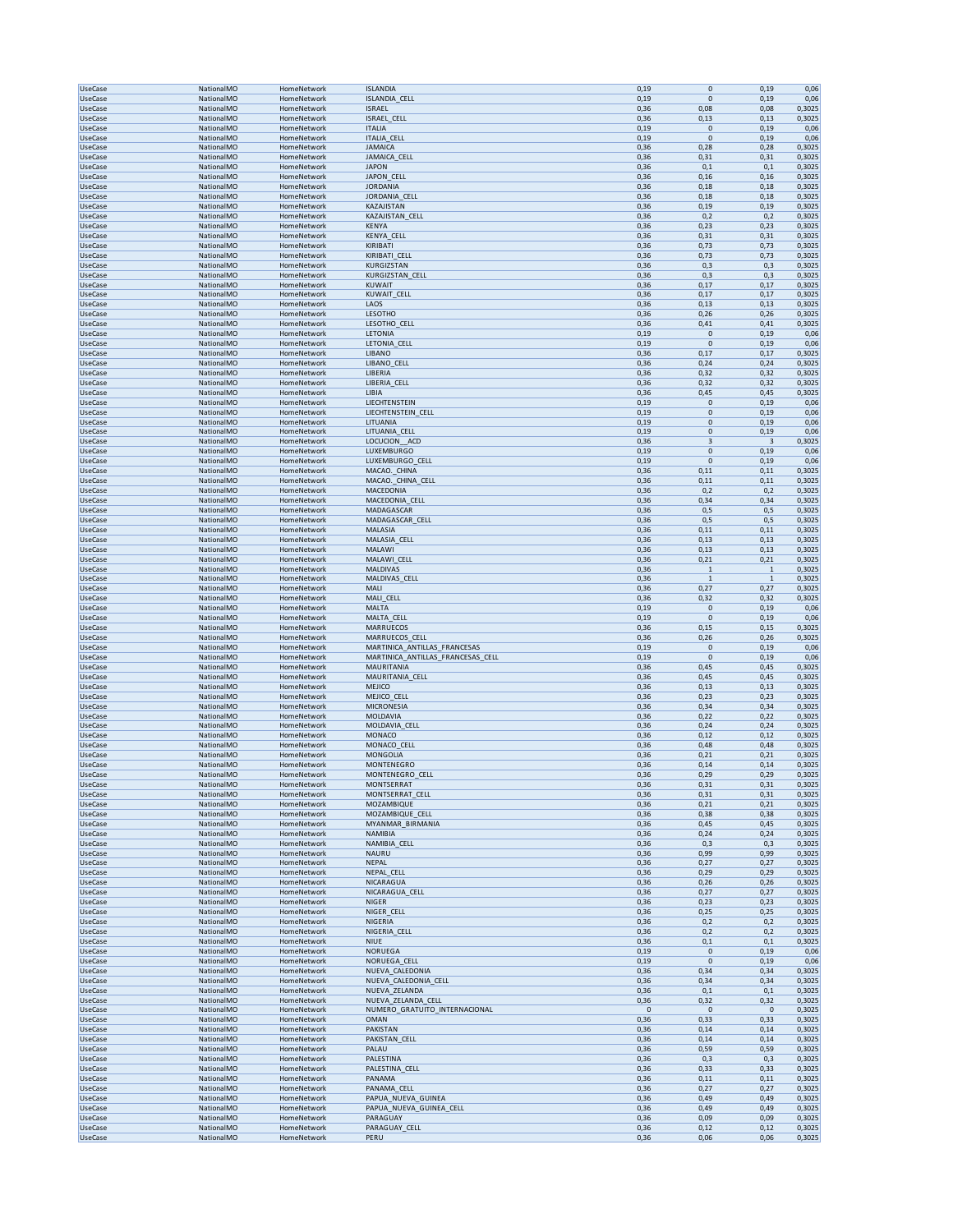| <b>UseCase</b>                   | NationalMO               | HomeNetwork                | <b>ISLANDIA</b>                         | 0,19                         | 0<br>0,19                                   | 0,06             |
|----------------------------------|--------------------------|----------------------------|-----------------------------------------|------------------------------|---------------------------------------------|------------------|
|                                  | NationalMO               | HomeNetwork                | ISLANDIA_CELL                           | 0,19                         | 0,19<br>0                                   | 0,06             |
| UseCase                          | NationalMO               | HomeNetwork                | <b>ISRAEL</b>                           | 0,08<br>0,36                 | 0,08                                        | 0,3025           |
| <b>UseCase</b>                   | NationalMO               | HomeNetwork                | ISRAEL_CELL                             | 0,36<br>0,13                 | 0,13                                        | 0,3025           |
| <b>UseCase</b>                   | NationalMO               | HomeNetwork                | <b>ITALIA</b>                           | 0,19                         | $\pmb{0}$<br>0,19                           | 0,06             |
| UseCase<br>UseCase               | NationalMO<br>NationalMO | HomeNetwork<br>HomeNetwork | <b>ITALIA_CELL</b><br><b>JAMAICA</b>    | 0,19<br>0,36<br>0,28         | 0<br>0,19<br>0,28                           | 0,06<br>0,3025   |
| UseCase                          | NationalMO               | HomeNetwork                | JAMAICA_CELL                            | 0,36<br>0,31                 | 0,31                                        | 0,3025           |
| <b>UseCase</b>                   | NationalMO               | HomeNetwork                | <b>JAPON</b>                            | 0,36<br>0,1                  | 0,1                                         | 0,3025           |
| <b>UseCase</b>                   | NationalMO               | HomeNetwork                | JAPON_CELL                              | 0,36<br>0,16                 | 0,16                                        | 0,3025           |
| <b>UseCase</b>                   | NationalMO               | HomeNetwork                | <b>JORDANIA</b>                         | 0,36<br>0,18                 | 0,18                                        | 0,3025           |
| <b>UseCase</b>                   | NationalMO               | HomeNetwork                | JORDANIA_CELL                           | 0,36<br>0,18                 | 0,18                                        | 0,3025           |
| <b>UseCase</b>                   | NationalMO               | HomeNetwork                | KAZAJISTAN                              | 0, 19<br>0,36                | 0,19                                        | 0,3025           |
| <b>UseCase</b>                   | NationalMO               | HomeNetwork                | KAZAJISTAN_CELL                         | 0,36<br>0,2                  | 0,2                                         | 0,3025           |
| <b>UseCase</b>                   | NationalMO               | HomeNetwork                | <b>KENYA</b>                            | 0,23<br>0,36                 | 0,23                                        | 0,3025<br>0,3025 |
| <b>UseCase</b><br><b>UseCase</b> | NationalMO<br>NationalMO | HomeNetwork<br>HomeNetwork | KENYA_CELL<br>KIRIBATI                  | 0,36<br>0,31<br>0,73<br>0,36 | 0,31<br>0,73                                | 0,3025           |
| <b>UseCase</b>                   | NationalMO               | HomeNetwork                | KIRIBATI CELL                           | 0,36<br>0,73                 | 0,73                                        | 0,3025           |
| <b>UseCase</b>                   | NationalMO               | HomeNetwork                | KURGIZSTAN                              | 0,36<br>0,3                  | 0,3                                         | 0,3025           |
| <b>UseCase</b>                   | NationalMO               | HomeNetwork                | KURGIZSTAN_CELL                         | 0,36<br>0,3                  | 0,3                                         | 0,3025           |
| <b>UseCase</b>                   | NationalMO               | HomeNetwork                | <b>KUWAIT</b>                           | 0,36<br>0,17                 | 0,17                                        | 0,3025           |
| UseCase                          | NationalMO               | HomeNetwork                | KUWAIT CELL                             | 0,17<br>0,36                 | 0,17                                        | 0,3025           |
| UseCase                          | NationalMO               | HomeNetwork                | LAOS                                    | 0,36<br>0,13                 | 0,13                                        | 0,3025           |
| <b>UseCase</b>                   | NationalMO<br>NationalMO | HomeNetwork                | LESOTHO                                 | 0,36<br>0,26<br>0,41         | 0,26<br>0,41                                | 0,3025<br>0,3025 |
| <b>UseCase</b><br><b>UseCase</b> | NationalMO               | HomeNetwork<br>HomeNetwork | LESOTHO_CELL<br>LETONIA                 | 0,36<br>0,19                 | 0<br>0,19                                   | 0,06             |
| UseCase                          | NationalMO               | HomeNetwork                | LETONIA_CELL                            | 0,19                         | $\mathbf 0$<br>0,19                         | 0,06             |
| UseCase                          | NationalMO               | HomeNetwork                | LIBANO                                  | 0,17<br>0,36                 | 0,17                                        | 0,3025           |
| <b>UseCase</b>                   | NationalMO               | HomeNetwork                | LIBANO CELL                             | 0,36<br>0,24                 | 0,24                                        | 0,3025           |
| <b>UseCase</b>                   | NationalMO               | HomeNetwork                | LIBERIA                                 | 0,36<br>0,32                 | 0,32                                        | 0,3025           |
| <b>UseCase</b>                   | NationalMO               | HomeNetwork                | LIBERIA_CELL                            | 0,36<br>0,32                 | 0,32                                        | 0,3025           |
| <b>UseCase</b>                   | NationalMO               | HomeNetwork                | LIBIA                                   | 0,45<br>0,36                 | 0,45                                        | 0,3025           |
| <b>UseCase</b>                   | NationalMO<br>NationalMO | HomeNetwork                | LIECHTENSTEIN                           | 0,19                         | 0<br>0,19                                   | 0,06             |
| <b>UseCase</b><br><b>UseCase</b> | NationalMO               | HomeNetwork<br>HomeNetwork | LIECHTENSTEIN_CELL<br>LITUANIA          | 0,19<br>0,19                 | $\pmb{0}$<br>0,19<br>$\overline{0}$<br>0,19 | 0,06<br>0,06     |
| <b>UseCase</b>                   | NationalMO               | HomeNetwork                | LITUANIA_CELL                           | 0,19                         | $\pmb{0}$<br>0,19                           | 0,06             |
| <b>UseCase</b>                   | NationalMO               | HomeNetwork                | LOCUCION ACD                            | 0,36                         | 3<br>3                                      | 0,3025           |
| <b>UseCase</b>                   | NationalMO               | HomeNetwork                | LUXEMBURGO                              | 0,19                         | $\overline{0}$<br>0,19                      | 0,06             |
| <b>UseCase</b>                   | NationalMO               | HomeNetwork                | LUXEMBURGO CELL                         | 0,19                         | $\pmb{0}$<br>0,19                           | 0,06             |
| <b>UseCase</b>                   | NationalMO               | HomeNetwork                | MACAO._CHINA                            | 0,36<br>0,11                 | 0,11                                        | 0,3025           |
| <b>UseCase</b>                   | NationalMO               | HomeNetwork                | MACAO._CHINA_CELL                       | 0,36<br>0,11                 | 0,11                                        | 0,3025           |
| UseCase                          | NationalMO               | HomeNetwork                | MACEDONIA                               | 0,36<br>0,2                  | 0,2                                         | 0,3025           |
| UseCase<br><b>UseCase</b>        | NationalMO<br>NationalMO | HomeNetwork<br>HomeNetwork | MACEDONIA_CELL<br>MADAGASCAR            | 0,34<br>0,36<br>0,36         | 0,34<br>0,5                                 | 0,3025<br>0,3025 |
| <b>UseCase</b>                   | NationalMO               | HomeNetwork                | MADAGASCAR_CELL                         | 0,5<br>0,5<br>0,36           | 0,5                                         | 0,3025           |
| <b>UseCase</b>                   | NationalMO               | HomeNetwork                | MALASIA                                 | 0,36<br>0,11                 | 0,11                                        | 0,3025           |
| UseCase                          | NationalMO               | HomeNetwork                | MALASIA_CELL                            | 0,36<br>0,13                 | 0,13                                        | 0,3025           |
| UseCase                          | NationalMO               | HomeNetwork                | MALAWI                                  | 0,13<br>0,36                 | 0,13                                        | 0,3025           |
| <b>UseCase</b>                   | NationalMO               | HomeNetwork                | MALAWI CELL                             | 0,36<br>0,21                 | 0,21                                        | 0,3025           |
| <b>UseCase</b>                   | NationalMO               | HomeNetwork                | <b>MALDIVAS</b>                         | 0,36                         | $\mathbf{1}$<br>$\mathbf{1}$                | 0,3025           |
| <b>UseCase</b>                   | NationalMO               | HomeNetwork                | MALDIVAS_CELL                           | 0,36                         | $\mathbf{1}$<br>$\mathbf{1}$                | 0,3025           |
| <b>UseCase</b>                   | NationalMO               | HomeNetwork                | MALI                                    | 0,27<br>0,36                 | 0,27                                        | 0,3025           |
| <b>UseCase</b><br><b>UseCase</b> | NationalMO<br>NationalMO | HomeNetwork<br>HomeNetwork | MALI_CELL<br><b>MALTA</b>               | 0,36<br>0,32<br>0,19         | 0,32<br>$\pmb{0}$<br>0,19                   | 0,3025<br>0,06   |
| <b>UseCase</b>                   | NationalMO               | HomeNetwork                | MALTA_CELL                              | 0,19                         | $\pmb{0}$<br>0,19                           | 0,06             |
| <b>UseCase</b>                   | NationalMO               | HomeNetwork                | MARRUECOS                               | 0,15<br>0,36                 | 0,15                                        | 0,3025           |
| <b>UseCase</b>                   | NationalMO               | HomeNetwork                | MARRUECOS CELL                          | 0,26<br>0,36                 | 0,26                                        | 0,3025           |
| <b>UseCase</b>                   | NationalMO               | HomeNetwork                | MARTINICA_ANTILLAS_FRANCESAS            | 0,19                         | 0<br>0,19                                   | 0,06             |
| <b>UseCase</b>                   | NationalMO               | HomeNetwork                | MARTINICA_ANTILLAS_FRANCESAS_CELL       | 0,19                         | $\pmb{0}$<br>0,19                           | 0,06             |
| <b>UseCase</b>                   | NationalMO               | HomeNetwork                | <b>MAURITANIA</b>                       | 0,36<br>0,45                 | 0,45                                        | 0,3025           |
| <b>UseCase</b>                   | NationalMO               | HomeNetwork                | MAURITANIA_CELL                         | 0,36<br>0,45                 | 0,45                                        | 0,3025           |
| UseCase                          | NationalMO               | HomeNetwork                | MEJICO<br>MEJICO CELL                   | 0,36<br>0,13                 | 0,13<br>0,23                                | 0,3025<br>0,3025 |
| UseCase<br><b>UseCase</b>        | NationalMO<br>NationalMO | HomeNetwork<br>HomeNetwork | <b>MICRONESIA</b>                       | 0,36<br>0,23<br>0,36<br>0,34 | 0,34                                        | 0,3025           |
| <b>UseCase</b>                   | NationalMO               | HomeNetwork                | MOLDAVIA                                | 0,22<br>0,36                 | 0,22                                        | 0,3025           |
| <b>UseCase</b>                   | NationalMO               | HomeNetwork                | MOLDAVIA_CELL                           | 0,36<br>0,24                 | 0,24                                        | 0,3025           |
| UseCase                          | NationalMO               | HomeNetwork                | <b>MONACO</b>                           |                              |                                             | 0,3025           |
| UseCase                          |                          |                            |                                         | 0,36<br>0,12                 | 0,12                                        |                  |
|                                  | NationalMO               | HomeNetwork                | MONACO_CELL                             | 0,36<br>0,48                 | 0,48                                        | 0,3025           |
| <b>UseCase</b>                   | NationalMO               | HomeNetwork                | <b>MONGOLIA</b>                         | 0,36<br>0,21                 | 0,21                                        | 0,3025           |
| <b>UseCase</b>                   | NationalMO               | HomeNetwork                | <b>MONTENEGRO</b>                       | 0,36<br>0,14                 | 0,14                                        | 0,3025           |
| <b>UseCase</b>                   | NationalMO               | HomeNetwork                | MONTENEGRO_CELL                         | 0,36<br>0,29                 | 0,29                                        | 0,3025           |
| UseCase                          | NationalMO               | HomeNetwork                | <b>MONTSERRAT</b>                       | 0,36<br>0,31                 | 0,31                                        | 0,3025           |
| <b>UseCase</b>                   | NationalMO               | HomeNetwork                | MONTSERRAT_CELL<br>MOZAMBIQUE           | 0,31<br>0,36                 | 0,31                                        | 0,3025           |
| <b>UseCase</b><br><b>UseCase</b> | NationalMO<br>NationalMO | HomeNetwork<br>HomeNetwork | MOZAMBIQUE_CELL                         | 0,36<br>0,21<br>0,38<br>0,36 | 0,21<br>0,38                                | 0,3025<br>0,3025 |
| <b>UseCase</b>                   | NationalMO               | HomeNetwork                | MYANMAR_BIRMANIA                        | 0,45<br>0,36                 | 0,45                                        | 0,3025           |
| <b>UseCase</b>                   | NationalMO               | HomeNetwork                | NAMIBIA                                 | 0,36<br>0,24                 | 0,24                                        | 0,3025           |
| <b>UseCase</b>                   | NationalMO               | HomeNetwork                | <b>NAMIBIA CELL</b>                     | 0,36<br>0,3                  | 0,3                                         | 0,3025           |
| <b>UseCase</b>                   | NationalMO               | HomeNetwork                | NAURU                                   | 0,36<br>0,99                 | 0,99                                        | 0,3025           |
| <b>UseCase</b>                   | NationalMO               | HomeNetwork                | NEPAL                                   | 0,36<br>0,27                 | 0,27                                        | 0,3025           |
| <b>UseCase</b>                   | NationalMO               | HomeNetwork                | NEPAL_CELL                              | 0,36<br>0,29                 | 0,29                                        | 0,3025           |
| <b>UseCase</b><br>UseCase        | NationalMO<br>NationalMO | HomeNetwork<br>HomeNetwork | NICARAGUA<br>NICARAGUA_CELL             | 0,26<br>0,36<br>0,27<br>0,36 | 0,26<br>0,27                                | 0,3025<br>0,3025 |
| <b>UseCase</b>                   | NationalMO               | HomeNetwork                | <b>NIGER</b>                            | 0,36<br>0,23                 | 0,23                                        | 0,3025           |
| <b>UseCase</b>                   | NationalMO               | HomeNetwork                | NIGER CELL                              | 0,25<br>0,36                 | 0,25                                        | 0,3025           |
| <b>UseCase</b>                   | NationalMO               | HomeNetwork                | NIGERIA                                 | 0,36<br>0,2                  | 0,2                                         | 0,3025           |
| <b>UseCase</b>                   | NationalMO               | HomeNetwork                | NIGERIA_CELL                            | 0,2<br>0,36                  | 0,2                                         | 0,3025           |
| <b>UseCase</b>                   | NationalMO               | HomeNetwork                | <b>NIUE</b>                             | 0,36<br>0,1                  | 0,1                                         | 0,3025           |
| <b>UseCase</b>                   | NationalMO               | HomeNetwork                | <b>NORUEGA</b>                          | 0,19                         | $\pmb{0}$<br>0,19                           | 0,06             |
| <b>UseCase</b>                   | NationalMO               | HomeNetwork                | NORUEGA_CELL                            | 0,19                         | $\pmb{0}$<br>0,19                           | 0,06             |
| <b>UseCase</b><br><b>UseCase</b> | NationalMO<br>NationalMO | HomeNetwork<br>HomeNetwork | NUEVA_CALEDONIA<br>NUEVA_CALEDONIA_CELL | 0,36<br>0,34<br>0,34<br>0,36 | 0,34<br>0,34                                | 0,3025<br>0,3025 |
| <b>UseCase</b>                   | NationalMO               | HomeNetwork                | NUEVA_ZELANDA                           | 0,36<br>0,1                  | 0,1                                         | 0,3025           |
| <b>UseCase</b>                   | NationalMO               | HomeNetwork                | NUEVA_ZELANDA_CELL                      | 0,36<br>0,32                 | 0,32                                        | 0,3025           |
| <b>UseCase</b>                   | NationalMO               | HomeNetwork                | NUMERO_GRATUITO_INTERNACIONAL           | $\mathbf 0$                  | $\pmb{0}$<br>$\pmb{0}$                      | 0,3025           |
| <b>UseCase</b>                   | NationalMO               | HomeNetwork                | <b>OMAN</b>                             | 0,33<br>0,36                 | 0,33                                        | 0,3025           |
| <b>UseCase</b>                   | NationalMO               | HomeNetwork                | PAKISTAN                                | 0,14<br>0,36                 | 0,14                                        | 0,3025           |
| <b>UseCase</b><br><b>UseCase</b> | NationalMO<br>NationalMO | HomeNetwork<br>HomeNetwork | PAKISTAN_CELL<br>PALAU                  | 0,36<br>0,14                 | 0,14                                        | 0,3025           |
| <b>UseCase</b>                   | NationalMO               | HomeNetwork                | PALESTINA                               | 0,36<br>0,59                 | 0,59                                        | 0,3025           |
| <b>UseCase</b>                   | NationalMO               | HomeNetwork                | PALESTINA_CELL                          | 0,36<br>0,3<br>0,36<br>0,33  | 0,3<br>0,33                                 | 0,3025<br>0,3025 |
| <b>UseCase</b>                   | NationalMO               | HomeNetwork                | PANAMA                                  | 0,11<br>0,36                 | 0,11                                        | 0,3025           |
| UseCase                          | NationalMO               | HomeNetwork                | PANAMA_CELL                             | 0,27<br>0,36                 | 0,27                                        | 0,3025           |
| <b>UseCase</b>                   | NationalMO               | HomeNetwork                | PAPUA_NUEVA_GUINEA                      | 0,36<br>0,49                 | 0,49                                        | 0,3025           |
| <b>UseCase</b>                   | NationalMO               | HomeNetwork                | PAPUA_NUEVA_GUINEA_CELL                 | 0,49<br>0,36                 | 0,49                                        | 0,3025           |
| <b>UseCase</b><br><b>UseCase</b> | NationalMO<br>NationalMO | HomeNetwork<br>HomeNetwork | PARAGUAY<br>PARAGUAY_CELL               | 0,36<br>0,09<br>0,36<br>0,12 | 0,09<br>0,12                                | 0,3025<br>0,3025 |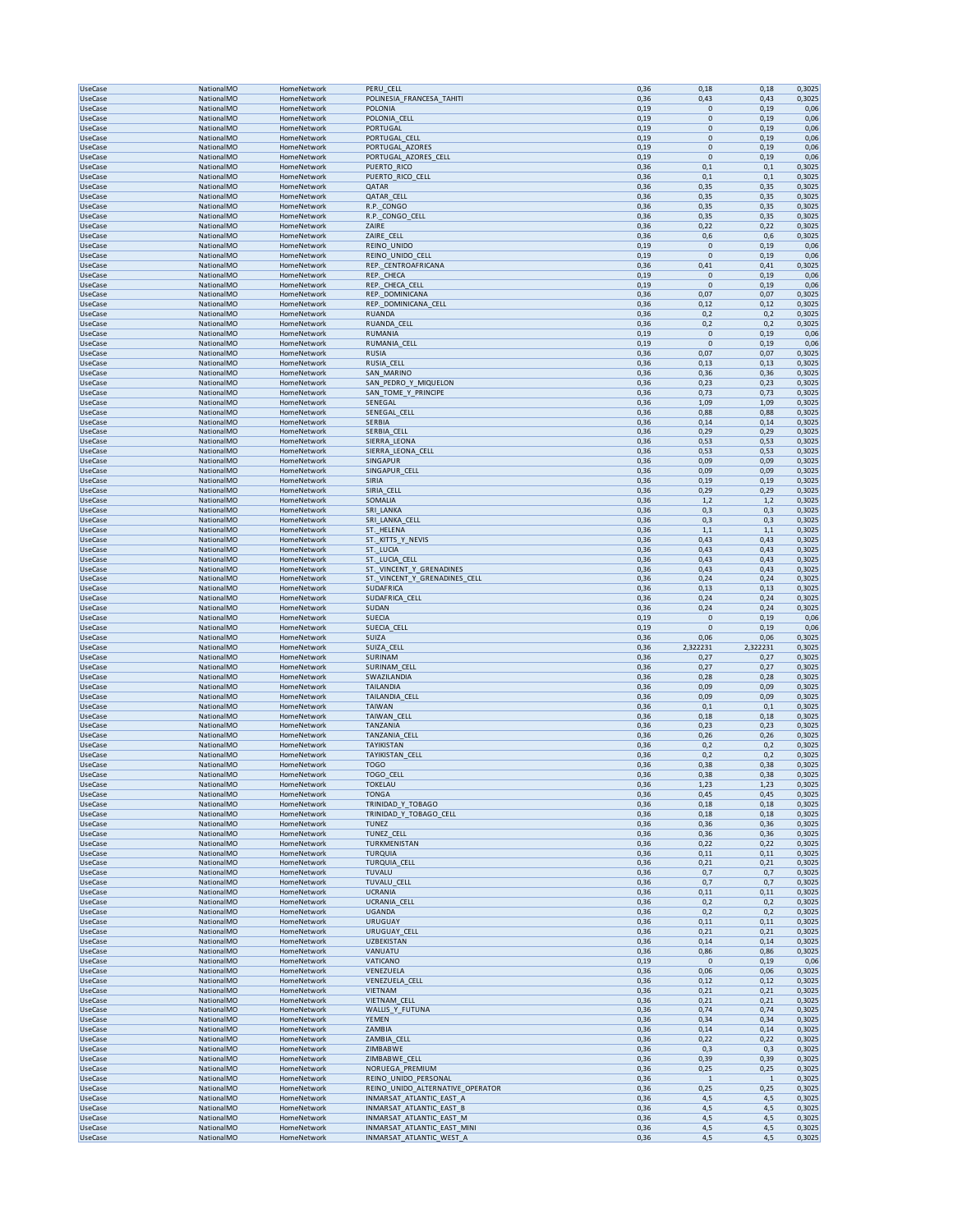| <b>UseCase</b>                   | NationalMO               | HomeNetwork                | PERU_CELL                                               | 0,36<br>0,18                 | 0,18                         | 0,3025           |
|----------------------------------|--------------------------|----------------------------|---------------------------------------------------------|------------------------------|------------------------------|------------------|
| <b>UseCase</b>                   | NationalMO               | HomeNetwork                | POLINESIA_FRANCESA_TAHITI                               | 0,36<br>0,43                 | 0,43                         | 0,3025           |
| <b>UseCase</b>                   | NationalMO               | HomeNetwork                | <b>POLONIA</b>                                          | 0, 19                        | 0,19<br>$\mathbf 0$          | 0,06             |
| <b>UseCase</b>                   | NationalMO               | HomeNetwork                | POLONIA CELL                                            | 0, 19                        | $\mathbf 0$<br>0,19          | 0,06             |
| <b>UseCase</b>                   | NationalMO               | HomeNetwork                | <b>PORTUGAL</b>                                         | 0,19                         | $\mathbf 0$<br>0,19          | 0,06             |
| <b>UseCase</b>                   | NationalMO               | HomeNetwork                | PORTUGAL_CELL                                           | 0,19                         | 0<br>0,19                    | 0,06             |
| UseCase                          | NationalMO               | HomeNetwork                | PORTUGAL_AZORES                                         | 0, 19                        | 0,19<br>$\mathbf 0$          | 0,06             |
| UseCase                          | NationalMO               | HomeNetwork                | PORTUGAL_AZORES_CELL                                    | 0, 19                        | 0,19<br>$\mathbf 0$          | 0,06             |
| <b>UseCase</b>                   | NationalMO               | HomeNetwork                | PUERTO RICO                                             | 0,36<br>0,1                  | 0,1                          | 0,3025           |
| <b>UseCase</b>                   | NationalMO               | HomeNetwork                | PUERTO_RICO_CELL                                        | 0,36<br>0,1                  | 0,1                          | 0,3025           |
| <b>UseCase</b>                   | NationalMO               | HomeNetwork                | QATAR                                                   | 0,36<br>0,35                 | 0,35                         | 0,3025           |
| <b>UseCase</b>                   | NationalMO               | HomeNetwork                | QATAR_CELL                                              | 0,36<br>0,35                 | 0,35                         | 0,3025           |
| <b>UseCase</b>                   | NationalMO               | HomeNetwork                | R.P._CONGO                                              | 0,35<br>0,36                 | 0,35                         | 0,3025           |
| <b>UseCase</b>                   | NationalMO               | HomeNetwork                | R.P. CONGO CELL                                         | 0,36<br>0,35                 | 0,35                         | 0,3025           |
| <b>UseCase</b>                   | NationalMO               | HomeNetwork                | ZAIRE                                                   | 0,22<br>0,36                 | 0,22                         | 0,3025           |
| <b>UseCase</b>                   | NationalMO               | HomeNetwork                | ZAIRE_CELL                                              | 0,36<br>0,6                  | 0,6                          | 0,3025           |
| <b>UseCase</b>                   | NationalMO               | HomeNetwork                | REINO UNIDO                                             | 0, 19                        | 0,19<br>$\mathbf 0$          | 0,06             |
| <b>UseCase</b>                   | NationalMO               | HomeNetwork                | REINO_UNIDO_CELL                                        | 0, 19                        | $\mathbf 0$<br>0,19          | 0,06             |
| <b>UseCase</b>                   | NationalMO               | HomeNetwork                | REP. CENTROAFRICANA                                     | 0,36<br>0,41                 | 0,41                         | 0,3025           |
| <b>UseCase</b>                   | NationalMO               | HomeNetwork                | REP. CHECA                                              | 0,19                         | $\mathbf 0$<br>0,19          | 0,06             |
| UseCase                          | NationalMO               | HomeNetwork                | REP. CHECA_CELL                                         | 0,19                         | $\mathbf 0$<br>0,19          | 0,06             |
| <b>UseCase</b>                   | NationalMO               | HomeNetwork                | REP. DOMINICANA                                         | 0,36<br>0,07                 | 0,07                         | 0,3025           |
| <b>UseCase</b>                   | NationalMO               | HomeNetwork                | REP. DOMINICANA_CELL                                    | 0,12<br>0,36                 | 0,12                         | 0,3025           |
| <b>UseCase</b>                   | NationalMO               | HomeNetwork                | <b>RUANDA</b>                                           | 0,36<br>0,2                  | 0,2                          | 0,3025           |
| <b>UseCase</b>                   | NationalMO               | HomeNetwork                | RUANDA_CELL                                             | 0,2<br>0,36                  | 0,2                          | 0,3025           |
| <b>UseCase</b>                   | NationalMO               | HomeNetwork                | RUMANIA                                                 | 0,19                         | $\mathbf 0$<br>0,19          | 0,06             |
| UseCase                          | NationalMO               | HomeNetwork                | RUMANIA_CELL                                            | 0, 19                        | 0,19<br>$\mathbf 0$          | 0,06             |
| UseCase                          | NationalMO               | HomeNetwork                | <b>RUSIA</b>                                            | 0,36<br>0,07                 | 0,07                         | 0,3025           |
| <b>UseCase</b>                   | NationalMO               | HomeNetwork                | RUSIA CELL                                              | 0,36<br>0,13                 | 0,13                         | 0,3025           |
| <b>UseCase</b>                   | NationalMO               | HomeNetwork                | SAN MARINO                                              | 0,36<br>0,36                 | 0,36                         | 0,3025           |
| <b>UseCase</b>                   | NationalMO               | HomeNetwork                | SAN_PEDRO_Y_MIQUELON                                    | 0,36<br>0,23                 | 0,23                         | 0,3025           |
| <b>UseCase</b>                   | NationalMO               | HomeNetwork                | SAN_TOME_Y_PRINCIPE                                     | 0,36<br>0,73                 | 0,73                         | 0,3025           |
| <b>UseCase</b>                   | NationalMO               | HomeNetwork                | SENEGAL                                                 | 0,36<br>1,09                 | 1,09                         | 0,3025           |
| <b>UseCase</b>                   | NationalMO               | HomeNetwork                | SENEGAL_CELL                                            | 0,36<br>0,88                 | 0,88                         | 0,3025           |
| <b>UseCase</b>                   | NationalMO               | HomeNetwork                | SERBIA                                                  | 0,14<br>0,36                 | 0,14                         | 0,3025           |
| <b>UseCase</b>                   | NationalMO               | HomeNetwork                | SERBIA CELL                                             | 0,29<br>0,36                 | 0,29                         | 0,3025           |
| <b>UseCase</b>                   | NationalMO               | HomeNetwork                | SIERRA LEONA                                            | 0,36<br>0,53                 | 0,53                         | 0,3025           |
| <b>UseCase</b>                   | NationalMO               | HomeNetwork                | SIERRA_LEONA_CELL                                       | 0,36<br>0,53                 | 0,53                         | 0,3025           |
| <b>UseCase</b>                   | NationalMO               | HomeNetwork                | SINGAPUR                                                | 0,36<br>0,09                 | 0,09                         | 0,3025           |
| <b>UseCase</b>                   | NationalMO               | HomeNetwork                | SINGAPUR_CELL                                           | 0,36<br>0,09                 | 0,09                         | 0,3025           |
| UseCase                          | NationalMO               | HomeNetwork                | SIRIA                                                   | 0,36<br>0,19                 | 0,19                         | 0,3025           |
| <b>UseCase</b>                   | NationalMO               | HomeNetwork                | SIRIA_CELL                                              | 0,36<br>0,29                 | 0,29                         | 0,3025           |
| <b>UseCase</b>                   | NationalMO               | HomeNetwork                | SOMALIA                                                 | 0,36<br>1,2                  | 1,2                          | 0,3025           |
| <b>UseCase</b>                   | NationalMO               | HomeNetwork                | SRI LANKA                                               | 0,36<br>0,3                  | 0,3                          | 0,3025           |
| <b>UseCase</b>                   | NationalMO               | HomeNetwork                | SRI_LANKA_CELL                                          | 0,3<br>0,36                  | 0,3                          | 0,3025           |
| <b>UseCase</b>                   | NationalMO               | HomeNetwork                | ST. HELENA                                              | 0,36<br>1,1                  | 1,1                          | 0,3025           |
| UseCase                          | NationalMO               | HomeNetwork                | ST._KITTS_Y_NEVIS                                       | 0,36<br>0,43                 | 0,43                         | 0,3025           |
| UseCase                          | NationalMO               | HomeNetwork                | ST._LUCIA                                               | 0,36<br>0,43                 | 0,43                         | 0,3025           |
| <b>UseCase</b>                   | NationalMO               | HomeNetwork                | ST. LUCIA CELL                                          | 0,36<br>0,43                 | 0,43                         | 0,3025           |
| <b>UseCase</b>                   | NationalMO               | HomeNetwork                | ST._VINCENT_Y_GRENADINES                                | 0,36<br>0,43                 | 0,43                         | 0,3025           |
| <b>UseCase</b>                   | NationalMO               | HomeNetwork                | ST._VINCENT_Y_GRENADINES_CELL                           | 0,36<br>0,24                 | 0,24                         | 0,3025           |
| <b>UseCase</b>                   | NationalMO               | HomeNetwork                | <b>SUDAFRICA</b>                                        | 0,13<br>0,36                 | 0,13                         | 0,3025           |
| <b>UseCase</b>                   | NationalMO               | HomeNetwork                | SUDAFRICA_CELL                                          | 0,24<br>0,36                 | 0,24                         | 0,3025           |
| <b>UseCase</b>                   | NationalMO               | HomeNetwork                | SUDAN                                                   | 0,36<br>0,24                 | 0,24                         | 0,3025           |
| <b>UseCase</b>                   | NationalMO               | HomeNetwork                | <b>SUECIA</b>                                           | 0, 19                        | $\mathbf 0$<br>0,19          | 0,06             |
|                                  | NationalMO               | HomeNetwork                | SUECIA_CELL                                             | 0,19                         | 0<br>0,19                    | 0,06             |
| <b>UseCase</b>                   |                          |                            |                                                         |                              |                              |                  |
| <b>UseCase</b>                   | NationalMO               | HomeNetwork                | SUIZA                                                   | 0,36<br>0,06                 | 0,06                         | 0,3025           |
| <b>UseCase</b>                   | NationalMO               | HomeNetwork                | SUIZA_CELL                                              | 0,36<br>2,322231             | 2,322231                     | 0,3025           |
| <b>UseCase</b>                   | NationalMO               | HomeNetwork                | SURINAM                                                 | 0,36<br>0,27                 | 0,27                         | 0,3025           |
| <b>UseCase</b>                   | NationalMO               | HomeNetwork                | SURINAM_CELL                                            | 0,36<br>0,27                 | 0,27                         | 0,3025           |
| UseCase                          | NationalMO               | HomeNetwork                | SWAZILANDIA                                             | 0,36<br>0,28                 | 0,28                         | 0,3025           |
| <b>UseCase</b>                   | NationalMO               | HomeNetwork                | <b>TAILANDIA</b>                                        | 0,09<br>0,36                 | 0,09                         | 0,3025           |
| <b>UseCase</b>                   | NationalMO               | HomeNetwork                | TAILANDIA_CELL                                          | 0,09<br>0,36                 | 0,09                         | 0,3025           |
| <b>UseCase</b>                   | NationalMO               | HomeNetwork                | <b>TAIWAN</b>                                           | 0,36<br>0,1                  | 0,1                          | 0,3025           |
| <b>UseCase</b>                   | NationalMO               | HomeNetwork                | TAIWAN_CELL                                             | 0,18<br>0,36                 | 0,18                         | 0,3025           |
| <b>UseCase</b>                   | NationalMO               | HomeNetwork                | TANZANIA                                                | 0,36<br>0,23                 | 0,23                         | 0,3025           |
| UseCase                          | NationalMO               | HomeNetwork                | TANZANIA CELL                                           | 0,36<br>0,26                 | 0,26                         | 0,3025           |
| UseCase                          | NationalMO               | HomeNetwork                | <b>TAYIKISTAN</b>                                       | 0,36<br>0,2                  | 0,2                          | 0,3025           |
| <b>UseCase</b>                   | NationalMO               | HomeNetwork                | TAYIKISTAN CELL                                         | 0,36<br>0,2                  | 0,2                          | 0,3025           |
| <b>UseCase</b>                   | NationalMO               | HomeNetwork                | <b>TOGO</b>                                             | 0,36<br>0,38                 | 0,38                         | 0,3025           |
| <b>UseCase</b>                   | NationalMO               | HomeNetwork                | <b>TOGO CELL</b>                                        | 0,36<br>0,38                 | 0,38                         | 0,3025           |
| <b>UseCase</b>                   | NationalMO               | HomeNetwork                | <b>TOKELAU</b>                                          | 0,36<br>1.23                 | 1,23                         | 0,3025           |
| <b>UseCase</b>                   | NationalMO               | HomeNetwork                | <b>TONGA</b>                                            | 0,36<br>0,45                 | 0,45                         | 0,3025           |
| <b>UseCase</b>                   | NationalMO               | HomeNetwork                | TRINIDAD_Y_TOBAGO                                       | 0,36<br>0,18                 | 0,18                         | 0,3025           |
| <b>UseCase</b>                   | NationalMO               | HomeNetwork                | TRINIDAD_Y_TOBAGO_CELL                                  | 0,18<br>0,36                 | 0,18                         | 0,3025           |
| <b>UseCase</b>                   | NationalMO               | HomeNetwork                | TUNEZ                                                   | 0,36<br>0,36                 | 0,36                         | 0,3025           |
| <b>UseCase</b>                   | NationalMO               | HomeNetwork                | TUNEZ_CELL                                              | 0,36<br>0,36                 | 0,36                         | 0,3025           |
| <b>UseCase</b><br><b>UseCase</b> | NationalMO<br>NationalMO | HomeNetwork<br>HomeNetwork | TURKMENISTAN<br><b>TURQUIA</b>                          | 0,36<br>0,22<br>0,36<br>0,11 | 0,22<br>0,11                 | 0,3025<br>0,3025 |
| <b>UseCase</b>                   | NationalMO               | HomeNetwork                | TURQUIA_CELL                                            | 0,21<br>0,36                 | 0,21                         | 0,3025           |
| <b>UseCase</b>                   | NationalMO               | HomeNetwork                | TUVALU                                                  | 0,7<br>0,36                  | 0,7                          | 0,3025           |
| <b>UseCase</b>                   | NationalMO               | HomeNetwork                | TUVALU CELL                                             | 0,36<br>0,7                  | 0,7                          | 0,3025           |
| <b>UseCase</b>                   | NationalMO               | HomeNetwork                | <b>UCRANIA</b>                                          | 0,36<br>0,11                 | 0,11                         | 0,3025           |
| <b>UseCase</b>                   | NationalMO               | HomeNetwork                | UCRANIA_CELL                                            | 0,36<br>0,2                  | 0,2                          | 0,3025           |
| <b>UseCase</b>                   | NationalMO               | HomeNetwork                | <b>UGANDA</b>                                           | 0,2<br>0,36                  | 0,2                          | 0,3025           |
| <b>UseCase</b>                   | NationalMO               | HomeNetwork                | URUGUAY                                                 | 0,36<br>0,11                 | 0,11                         | 0,3025           |
| <b>UseCase</b>                   | NationalMO               | HomeNetwork                | URUGUAY_CELL                                            | 0,36<br>0,21                 | 0,21                         | 0,3025           |
| <b>UseCase</b>                   | NationalMO               | HomeNetwork                | <b>UZBEKISTAN</b>                                       | 0,14<br>0,36                 | 0,14                         | 0,3025           |
| <b>UseCase</b>                   | NationalMO               | HomeNetwork                | VANUATU                                                 | 0,36<br>0,86                 | 0,86                         | 0,3025           |
| <b>UseCase</b>                   | NationalMO               | HomeNetwork                | VATICANO                                                | 0,19                         | $\mathbf 0$<br>0,19          | 0,06             |
| <b>UseCase</b>                   | NationalMO               | HomeNetwork                | VENEZUELA                                               | 0,06<br>0,36                 | 0,06                         | 0,3025           |
| <b>UseCase</b>                   | NationalMO               | HomeNetwork                | VENEZUELA_CELL                                          | 0,36<br>0,12                 | 0,12                         | 0,3025           |
| <b>UseCase</b>                   | NationalMO               | HomeNetwork                | VIETNAM                                                 | 0,21<br>0,36                 | 0,21                         | 0,3025           |
| <b>UseCase</b>                   | NationalMO               | HomeNetwork                | VIETNAM_CELL                                            | 0,36<br>0,21                 | 0,21                         | 0,3025           |
| <b>UseCase</b>                   | NationalMO               | HomeNetwork                | WALLIS_Y_FUTUNA                                         | 0,74<br>0,36                 | 0,74                         | 0,3025           |
| <b>UseCase</b>                   | NationalMO               | HomeNetwork                | YEMEN                                                   | 0,34<br>0,36                 | 0,34                         | 0,3025           |
| <b>UseCase</b>                   | NationalMO               | HomeNetwork                | ZAMBIA                                                  | 0,36<br>0,14                 | 0,14                         | 0,3025           |
| <b>UseCase</b>                   | NationalMO               | HomeNetwork                | ZAMBIA_CELL                                             | 0,36<br>0,22                 | 0,22                         | 0,3025           |
| <b>UseCase</b>                   | NationalMO               | HomeNetwork                | ZIMBABWE                                                | 0,36<br>0,3                  | 0,3                          | 0,3025           |
| <b>UseCase</b>                   | NationalMO               | HomeNetwork                | ZIMBABWE_CELL                                           | 0,39<br>0,36                 | 0,39                         | 0,3025           |
| <b>UseCase</b>                   | NationalMO               | HomeNetwork                | NORUEGA_PREMIUM                                         | 0,25<br>0,36                 | 0,25                         | 0,3025           |
| <b>UseCase</b>                   | NationalMO               | HomeNetwork                | REINO UNIDO PERSONAL                                    | 0,36                         | $\mathbf{1}$<br>$\mathbf{1}$ | 0,3025           |
| <b>UseCase</b>                   | NationalMO               | HomeNetwork                | REINO_UNIDO_ALTERNATIVE_OPERATOR                        | 0,36<br>0,25                 | 0,25                         | 0,3025           |
| <b>UseCase</b>                   | NationalMO               | HomeNetwork                | INMARSAT_ATLANTIC_EAST_A                                | 0,36<br>4,5                  | 4,5                          | 0,3025           |
| <b>UseCase</b>                   | NationalMO               | HomeNetwork                | INMARSAT_ATLANTIC_EAST_B                                | 4,5<br>0,36                  | 4,5                          | 0,3025           |
| <b>UseCase</b>                   | NationalMO               | HomeNetwork                | INMARSAT_ATLANTIC_EAST_M                                | 4,5<br>0,36                  | 4,5                          | 0,3025           |
| <b>UseCase</b><br><b>UseCase</b> | NationalMO<br>NationalMO | HomeNetwork<br>HomeNetwork | INMARSAT_ATLANTIC_EAST_MINI<br>INMARSAT_ATLANTIC_WEST_A | 0,36<br>4,5<br>0,36<br>4,5   | 4,5<br>4,5                   | 0,3025<br>0,3025 |